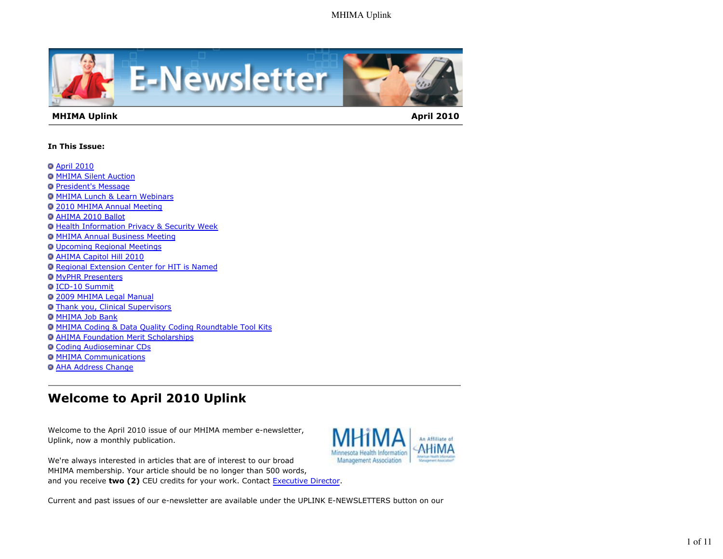

#### **MHIMA Uplink April 2010 April 2010**

#### **In This Issue:**

- **O** April 2010
- **O MHIMA Silent Auction**
- **President's Message**
- MHIMA Lunch & Learn Webinars
- 2010 MHIMA Annual Meeting
- AHIMA 2010 Ballot
- **Health Information Privacy & Security Week**
- **MHIMA Annual Business Meeting**
- Upcoming Regional Meetings
- AHIMA Capitol Hill 2010
- Regional Extension Center for HIT is Named
- **O MyPHR Presenters**
- ICD-10 Summit
- 2009 MHIMA Legal Manual
- Thank you, Clinical Supervisors
- **O MHIMA Job Bank**
- MHIMA Coding & Data Quality Coding Roundtable Tool Kits
- AHIMA Foundation Merit Scholarships
- Coding Audioseminar CDs
- **O MHIMA Communications**
- AHA Address Change

# **Welcome to April 2010 Uplink**

Welcome to the April 2010 issue of our MHIMA member e-newsletter, Uplink, now a monthly publication.



We're always interested in articles that are of interest to our broad MHIMA membership. Your article should be no longer than 500 words, and you receive **two (2)** CEU credits for your work. Contact Executive Director.

Current and past issues of our e-newsletter are available under the UPLINK E-NEWSLETTERS button on our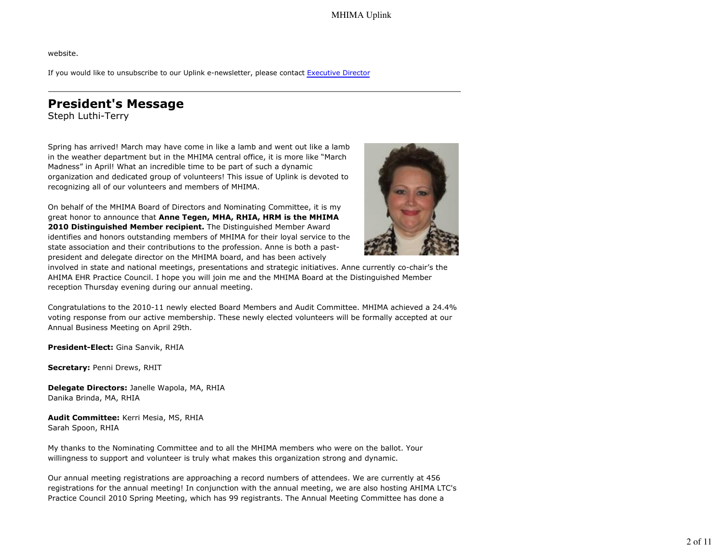website.

If you would like to unsubscribe to our Uplink e-newsletter, please contact Executive Director

## **President's Message**

Steph Luthi-Terry

Spring has arrived! March may have come in like a lamb and went out like a lamb in the weather department but in the MHIMA central office, it is more like "March Madness" in April! What an incredible time to be part of such a dynamic organization and dedicated group of volunteers! This issue of Uplink is devoted to recognizing all of our volunteers and members of MHIMA.

On behalf of the MHIMA Board of Directors and Nominating Committee, it is my great honor to announce that **Anne Tegen, MHA, RHIA, HRM is the MHIMA 2010 Distinguished Member recipient.** The Distinguished Member Award identifies and honors outstanding members of MHIMA for their loyal service to the state association and their contributions to the profession. Anne is both a pastpresident and delegate director on the MHIMA board, and has been actively



involved in state and national meetings, presentations and strategic initiatives. Anne currently co-chair's the AHIMA EHR Practice Council. I hope you will join me and the MHIMA Board at the Distinguished Member reception Thursday evening during our annual meeting.

Congratulations to the 2010-11 newly elected Board Members and Audit Committee. MHIMA achieved a 24.4% voting response from our active membership. These newly elected volunteers will be formally accepted at our Annual Business Meeting on April 29th.

**President-Elect:** Gina Sanvik, RHIA

**Secretary:** Penni Drews, RHIT

**Delegate Directors:** Janelle Wapola, MA, RHIA Danika Brinda, MA, RHIA

**Audit Committee:** Kerri Mesia, MS, RHIA Sarah Spoon, RHIA

My thanks to the Nominating Committee and to all the MHIMA members who were on the ballot. Your willingness to support and volunteer is truly what makes this organization strong and dynamic.

Our annual meeting registrations are approaching a record numbers of attendees. We are currently at 456 registrations for the annual meeting! In conjunction with the annual meeting, we are also hosting AHIMA LTC's Practice Council 2010 Spring Meeting, which has 99 registrants. The Annual Meeting Committee has done a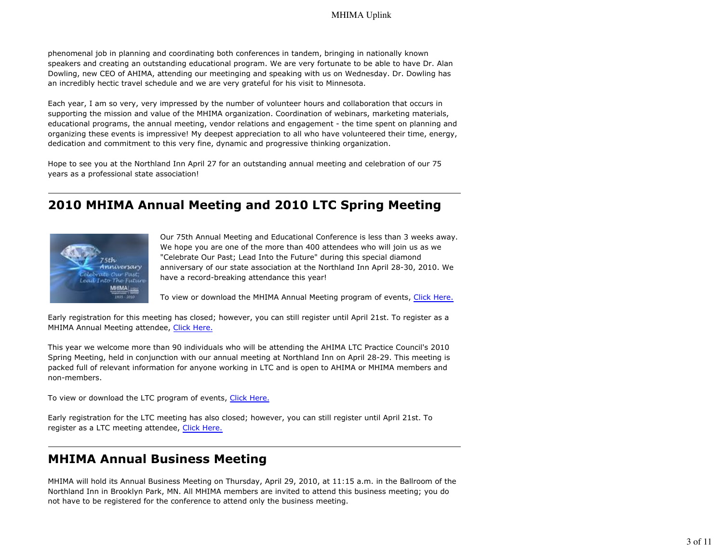phenomenal job in planning and coordinating both conferences in tandem, bringing in nationally known speakers and creating an outstanding educational program. We are very fortunate to be able to have Dr. Alan Dowling, new CEO of AHIMA, attending our meetinging and speaking with us on Wednesday. Dr. Dowling has an incredibly hectic travel schedule and we are very grateful for his visit to Minnesota.

Each year, I am so very, very impressed by the number of volunteer hours and collaboration that occurs in supporting the mission and value of the MHIMA organization. Coordination of webinars, marketing materials, educational programs, the annual meeting, vendor relations and engagement - the time spent on planning and organizing these events is impressive! My deepest appreciation to all who have volunteered their time, energy, dedication and commitment to this very fine, dynamic and progressive thinking organization.

Hope to see you at the Northland Inn April 27 for an outstanding annual meeting and celebration of our 75 years as a professional state association!

## **2010 MHIMA Annual Meeting and 2010 LTC Spring Meeting**



Our 75th Annual Meeting and Educational Conference is less than 3 weeks away. We hope you are one of the more than 400 attendees who will join us as we "Celebrate Our Past; Lead Into the Future" during this special diamond anniversary of our state association at the Northland Inn April 28-30, 2010. We have a record-breaking attendance this year!

To view or download the MHIMA Annual Meeting program of events, Click Here.

Early registration for this meeting has closed; however, you can still register until April 21st. To register as a MHIMA Annual Meeting attendee, Click Here.

This year we welcome more than 90 individuals who will be attending the AHIMA LTC Practice Council's 2010 Spring Meeting, held in conjunction with our annual meeting at Northland Inn on April 28-29. This meeting is packed full of relevant information for anyone working in LTC and is open to AHIMA or MHIMA members and non-members.

To view or download the LTC program of events, Click Here.

Early registration for the LTC meeting has also closed; however, you can still register until April 21st. To register as a LTC meeting attendee, Click Here.

### **MHIMA Annual Business Meeting**

MHIMA will hold its Annual Business Meeting on Thursday, April 29, 2010, at 11:15 a.m. in the Ballroom of the Northland Inn in Brooklyn Park, MN. All MHIMA members are invited to attend this business meeting; you do not have to be registered for the conference to attend only the business meeting.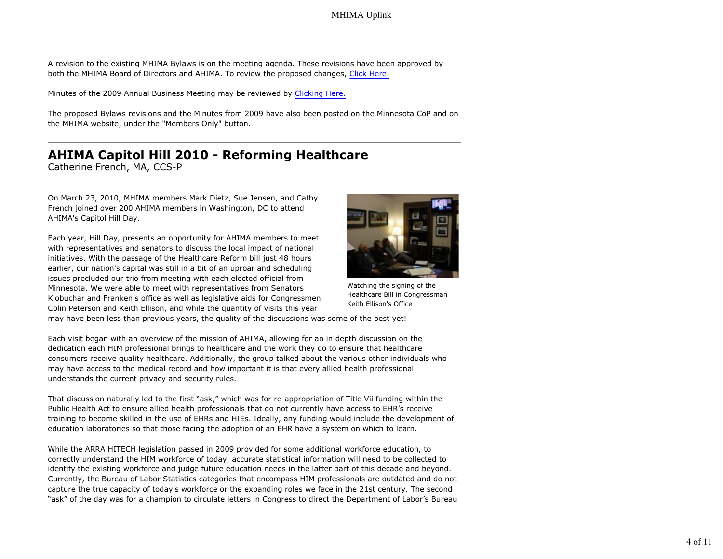A revision to the existing MHIMA Bylaws is on the meeting agenda. These revisions have been approved by both the MHIMA Board of Directors and AHIMA. To review the proposed changes, Click Here.

Minutes of the 2009 Annual Business Meeting may be reviewed by Clicking Here.

The proposed Bylaws revisions and the Minutes from 2009 have also been posted on the Minnesota CoP and on the MHIMA website, under the "Members Only" button.

#### **AHIMA Capitol Hill 2010 - Reforming Healthcare** Catherine French, MA, CCS-P

On March 23, 2010, MHIMA members Mark Dietz, Sue Jensen, and Cathy French joined over 200 AHIMA members in Washington, DC to attend AHIMA's Capitol Hill Day.

Each year, Hill Day, presents an opportunity for AHIMA members to meet with representatives and senators to discuss the local impact of national initiatives. With the passage of the Healthcare Reform bill just 48 hours earlier, our nation's capital was still in a bit of an uproar and scheduling issues precluded our trio from meeting with each elected official from Minnesota. We were able to meet with representatives from Senators Klobuchar and Franken's office as well as legislative aids for Congressmen Colin Peterson and Keith Ellison, and while the quantity of visits this year



Watching the signing of the Healthcare Bill in Congressman Keith Ellison's Office

may have been less than previous years, the quality of the discussions was some of the best yet!

Each visit began with an overview of the mission of AHIMA, allowing for an in depth discussion on the dedication each HIM professional brings to healthcare and the work they do to ensure that healthcare consumers receive quality healthcare. Additionally, the group talked about the various other individuals who may have access to the medical record and how important it is that every allied health professional understands the current privacy and security rules.

That discussion naturally led to the first "ask," which was for re-appropriation of Title Vii funding within the Public Health Act to ensure allied health professionals that do not currently have access to EHR's receive training to become skilled in the use of EHRs and HIEs. Ideally, any funding would include the development of education laboratories so that those facing the adoption of an EHR have a system on which to learn.

While the ARRA HITECH legislation passed in 2009 provided for some additional workforce education, to correctly understand the HIM workforce of today, accurate statistical information will need to be collected to identify the existing workforce and judge future education needs in the latter part of this decade and beyond. Currently, the Bureau of Labor Statistics categories that encompass HIM professionals are outdated and do not capture the true capacity of today's workforce or the expanding roles we face in the 21st century. The second "ask" of the day was for a champion to circulate letters in Congress to direct the Department of Labor's Bureau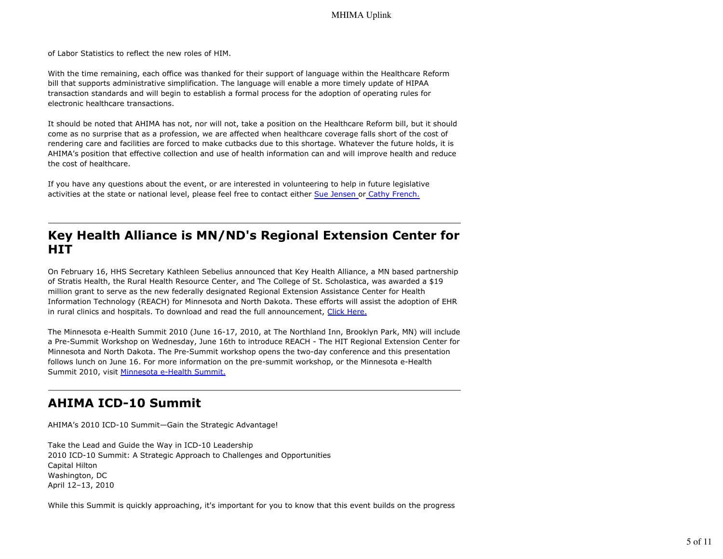of Labor Statistics to reflect the new roles of HIM.

With the time remaining, each office was thanked for their support of language within the Healthcare Reform bill that supports administrative simplification. The language will enable a more timely update of HIPAA transaction standards and will begin to establish a formal process for the adoption of operating rules for electronic healthcare transactions.

It should be noted that AHIMA has not, nor will not, take a position on the Healthcare Reform bill, but it should come as no surprise that as a profession, we are affected when healthcare coverage falls short of the cost of rendering care and facilities are forced to make cutbacks due to this shortage. Whatever the future holds, it is AHIMA's position that effective collection and use of health information can and will improve health and reduce the cost of healthcare.

If you have any questions about the event, or are interested in volunteering to help in future legislative activities at the state or national level, please feel free to contact either Sue Jensen or Cathy French.

## **Key Health Alliance is MN/ND's Regional Extension Center for HIT**

On February 16, HHS Secretary Kathleen Sebelius announced that Key Health Alliance, a MN based partnership of Stratis Health, the Rural Health Resource Center, and The College of St. Scholastica, was awarded a \$19 million grant to serve as the new federally designated Regional Extension Assistance Center for Health Information Technology (REACH) for Minnesota and North Dakota. These efforts will assist the adoption of EHR in rural clinics and hospitals. To download and read the full announcement, Click Here.

The Minnesota e-Health Summit 2010 (June 16-17, 2010, at The Northland Inn, Brooklyn Park, MN) will include a Pre-Summit Workshop on Wednesday, June 16th to introduce REACH - The HIT Regional Extension Center for Minnesota and North Dakota. The Pre-Summit workshop opens the two-day conference and this presentation follows lunch on June 16. For more information on the pre-summit workshop, or the Minnesota e-Health Summit 2010, visit Minnesota e-Health Summit.

## **AHIMA ICD-10 Summit**

AHIMA's 2010 ICD-10 Summit—Gain the Strategic Advantage!

Take the Lead and Guide the Way in ICD-10 Leadership 2010 ICD-10 Summit: A Strategic Approach to Challenges and Opportunities Capital Hilton Washington, DC April 12–13, 2010

While this Summit is quickly approaching, it's important for you to know that this event builds on the progress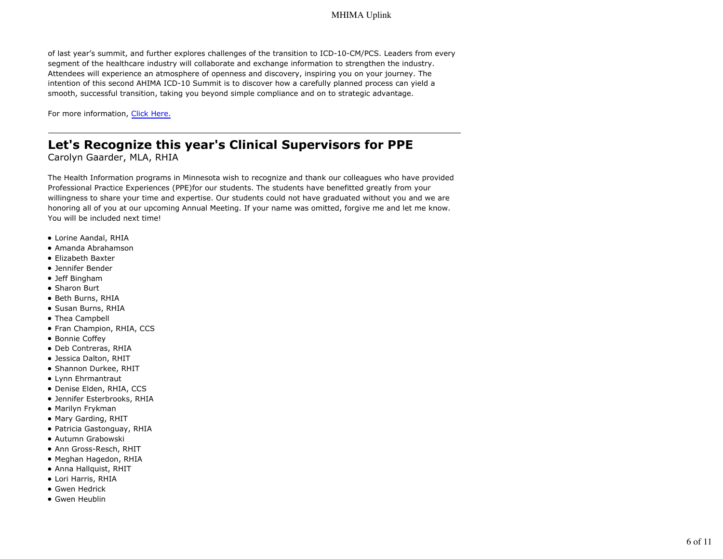of last year's summit, and further explores challenges of the transition to ICD-10-CM/PCS. Leaders from every segment of the healthcare industry will collaborate and exchange information to strengthen the industry. Attendees will experience an atmosphere of openness and discovery, inspiring you on your journey. The intention of this second AHIMA ICD-10 Summit is to discover how a carefully planned process can yield a smooth, successful transition, taking you beyond simple compliance and on to strategic advantage.

For more information, Click Here.

# **Let's Recognize this year's Clinical Supervisors for PPE**

Carolyn Gaarder, MLA, RHIA

The Health Information programs in Minnesota wish to recognize and thank our colleagues who have provided Professional Practice Experiences (PPE)for our students. The students have benefitted greatly from your willingness to share your time and expertise. Our students could not have graduated without you and we are honoring all of you at our upcoming Annual Meeting. If your name was omitted, forgive me and let me know. You will be included next time!

- Lorine Aandal, RHIA
- Amanda Abrahamson
- Elizabeth Baxter
- Jennifer Bender
- Jeff Bingham
- Sharon Burt
- Beth Burns, RHIA
- Susan Burns, RHIA
- Thea Campbell
- Fran Champion, RHIA, CCS
- Bonnie Coffey
- Deb Contreras, RHIA
- Jessica Dalton, RHIT
- Shannon Durkee, RHIT
- Lynn Ehrmantraut
- Denise Elden, RHIA, CCS
- Jennifer Esterbrooks, RHIA
- Marilyn Frykman
- Mary Garding, RHIT
- Patricia Gastonguay, RHIA
- Autumn Grabowski
- Ann Gross-Resch, RHIT
- Meghan Hagedon, RHIA
- Anna Hallquist, RHIT
- Lori Harris, RHIA
- Gwen Hedrick
- Gwen Heublin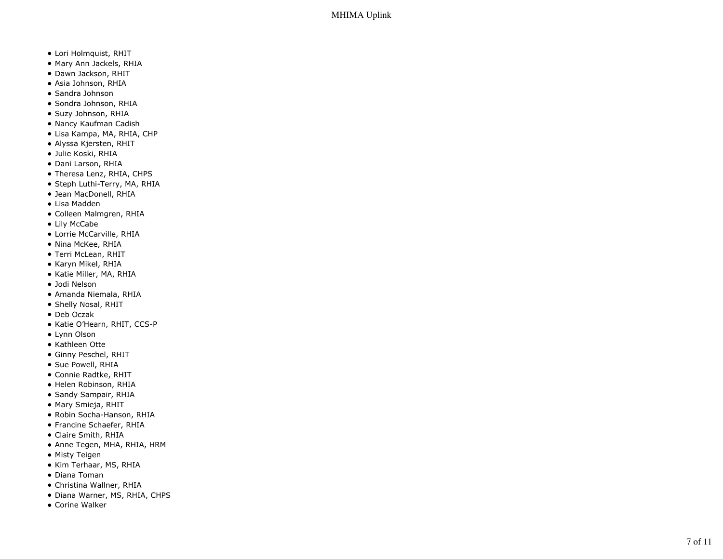- Lori Holmquist, RHIT
- Mary Ann Jackels, RHIA
- Dawn Jackson, RHIT
- Asia Johnson, RHIA
- Sandra Johnson
- Sondra Johnson, RHIA
- Suzy Johnson, RHIA
- Nancy Kaufman Cadish
- Lisa Kampa, MA, RHIA, CHP
- Alyssa Kjersten, RHIT
- Julie Koski, RHIA
- Dani Larson, RHIA
- Theresa Lenz, RHIA, CHPS
- Steph Luthi-Terry, MA, RHIA
- Jean MacDonell, RHIA
- Lisa Madden
- Colleen Malmgren, RHIA
- Lily McCabe
- Lorrie McCarville, RHIA
- Nina McKee, RHIA
- Terri McLean, RHIT
- Karyn Mikel, RHIA
- Katie Miller, MA, RHIA
- Jodi Nelson
- Amanda Niemala, RHIA
- Shelly Nosal, RHIT
- Deb Oczak
- Katie O'Hearn, RHIT, CCS-P
- Lynn Olson
- Kathleen Otte
- Ginny Peschel, RHIT
- Sue Powell, RHIA
- Connie Radtke, RHIT
- · Helen Robinson, RHIA
- Sandy Sampair, RHIA
- Mary Smieja, RHIT
- Robin Socha-Hanson, RHIA
- Francine Schaefer, RHIA
- Claire Smith, RHIA
- Anne Tegen, MHA, RHIA, HRM
- Misty Teigen
- Kim Terhaar, MS, RHIA
- Diana Toman
- Christina Wallner, RHIA
- Diana Warner, MS, RHIA, CHPS
- Corine Walker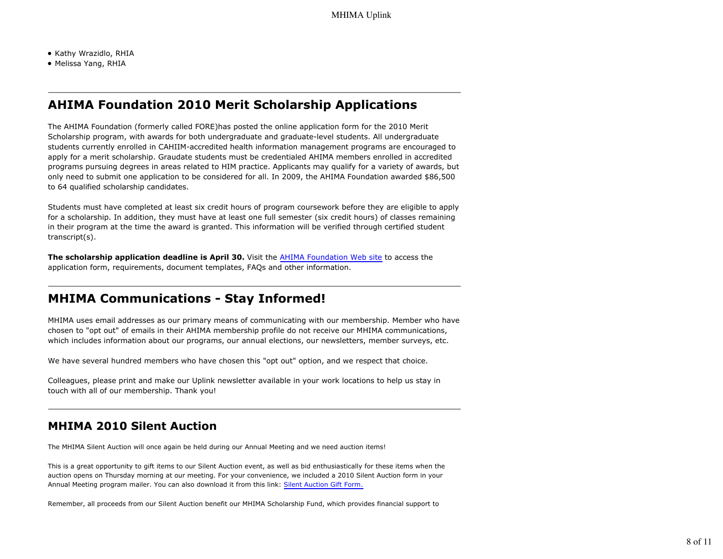- Kathy Wrazidlo, RHIA
- Melissa Yang, RHIA

## **AHIMA Foundation 2010 Merit Scholarship Applications**

The AHIMA Foundation (formerly called FORE)has posted the online application form for the 2010 Merit Scholarship program, with awards for both undergraduate and graduate-level students. All undergraduate students currently enrolled in CAHIIM-accredited health information management programs are encouraged to apply for a merit scholarship. Graudate students must be credentialed AHIMA members enrolled in accredited programs pursuing degrees in areas related to HIM practice. Applicants may qualify for a variety of awards, but only need to submit one application to be considered for all. In 2009, the AHIMA Foundation awarded \$86,500 to 64 qualified scholarship candidates.

Students must have completed at least six credit hours of program coursework before they are eligible to apply for a scholarship. In addition, they must have at least one full semester (six credit hours) of classes remaining in their program at the time the award is granted. This information will be verified through certified student transcript(s).

**The scholarship application deadline is April 30.** Visit the AHIMA Foundation Web site to access the application form, requirements, document templates, FAQs and other information.

## **MHIMA Communications - Stay Informed!**

MHIMA uses email addresses as our primary means of communicating with our membership. Member who have chosen to "opt out" of emails in their AHIMA membership profile do not receive our MHIMA communications, which includes information about our programs, our annual elections, our newsletters, member surveys, etc.

We have several hundred members who have chosen this "opt out" option, and we respect that choice.

Colleagues, please print and make our Uplink newsletter available in your work locations to help us stay in touch with all of our membership. Thank you!

## **MHIMA 2010 Silent Auction**

The MHIMA Silent Auction will once again be held during our Annual Meeting and we need auction items!

This is a great opportunity to gift items to our Silent Auction event, as well as bid enthusiastically for these items when the auction opens on Thursday morning at our meeting. For your convenience, we included a 2010 Silent Auction form in your Annual Meeting program mailer. You can also download it from this link: Silent Auction Gift Form.

Remember, all proceeds from our Silent Auction benefit our MHIMA Scholarship Fund, which provides financial support to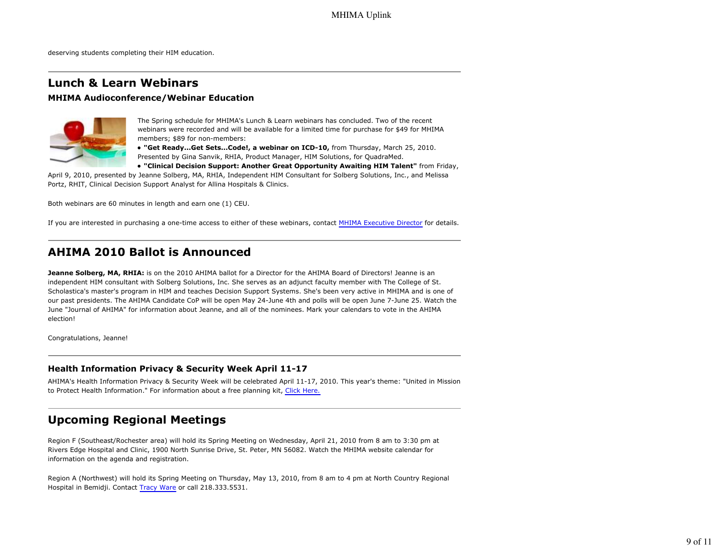deserving students completing their HIM education.

### **Lunch & Learn Webinars**

#### **MHIMA Audioconference/Webinar Education**



The Spring schedule for MHIMA's Lunch & Learn webinars has concluded. Two of the recent webinars were recorded and will be available for a limited time for purchase for \$49 for MHIMA members; \$89 for non-members:

**"Get Ready...Get Sets...Code!, a webinar on ICD-10,** from Thursday, March 25, 2010. Presented by Gina Sanvik, RHIA, Product Manager, HIM Solutions, for QuadraMed.

**"Clinical Decision Support: Another Great Opportunity Awaiting HIM Talent"** from Friday,

April 9, 2010, presented by Jeanne Solberg, MA, RHIA, Independent HIM Consultant for Solberg Solutions, Inc., and Melissa Portz, RHIT, Clinical Decision Support Analyst for Allina Hospitals & Clinics.

Both webinars are 60 minutes in length and earn one (1) CEU.

If you are interested in purchasing a one-time access to either of these webinars, contact MHIMA Executive Director for details.

### **AHIMA 2010 Ballot is Announced**

**Jeanne Solberg, MA, RHIA:** is on the 2010 AHIMA ballot for a Director for the AHIMA Board of Directors! Jeanne is an independent HIM consultant with Solberg Solutions, Inc. She serves as an adjunct faculty member with The College of St. Scholastica's master's program in HIM and teaches Decision Support Systems. She's been very active in MHIMA and is one of our past presidents. The AHIMA Candidate CoP will be open May 24-June 4th and polls will be open June 7-June 25. Watch the June "Journal of AHIMA" for information about Jeanne, and all of the nominees. Mark your calendars to vote in the AHIMA election!

Congratulations, Jeanne!

#### **Health Information Privacy & Security Week April 11-17**

AHIMA's Health Information Privacy & Security Week will be celebrated April 11-17, 2010. This year's theme: "United in Mission to Protect Health Information." For information about a free planning kit, Click Here.

### **Upcoming Regional Meetings**

Region F (Southeast/Rochester area) will hold its Spring Meeting on Wednesday, April 21, 2010 from 8 am to 3:30 pm at Rivers Edge Hospital and Clinic, 1900 North Sunrise Drive, St. Peter, MN 56082. Watch the MHIMA website calendar for information on the agenda and registration.

Region A (Northwest) will hold its Spring Meeting on Thursday, May 13, 2010, from 8 am to 4 pm at North Country Regional Hospital in Bemidji. Contact Tracy Ware or call 218.333.5531.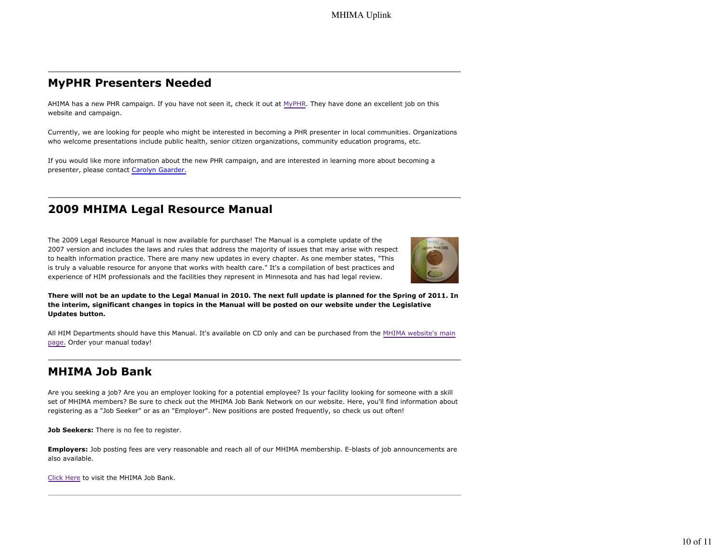### **MyPHR Presenters Needed**

AHIMA has a new PHR campaign. If you have not seen it, check it out at MyPHR. They have done an excellent job on this website and campaign.

Currently, we are looking for people who might be interested in becoming a PHR presenter in local communities. Organizations who welcome presentations include public health, senior citizen organizations, community education programs, etc.

If you would like more information about the new PHR campaign, and are interested in learning more about becoming a presenter, please contact Carolyn Gaarder.

## **2009 MHIMA Legal Resource Manual**

The 2009 Legal Resource Manual is now available for purchase! The Manual is a complete update of the 2007 version and includes the laws and rules that address the majority of issues that may arise with respect to health information practice. There are many new updates in every chapter. As one member states, "This is truly a valuable resource for anyone that works with health care." It's a compilation of best practices and experience of HIM professionals and the facilities they represent in Minnesota and has had legal review.



**There will not be an update to the Legal Manual in 2010. The next full update is planned for the Spring of 2011. In the interim, significant changes in topics in the Manual will be posted on our website under the Legislative Updates button.**

All HIM Departments should have this Manual. It's available on CD only and can be purchased from the MHIMA website's main page. Order your manual today!

## **MHIMA Job Bank**

Are you seeking a job? Are you an employer looking for a potential employee? Is your facility looking for someone with a skill set of MHIMA members? Be sure to check out the MHIMA Job Bank Network on our website. Here, you'll find information about registering as a "Job Seeker" or as an "Employer". New positions are posted frequently, so check us out often!

**Job Seekers:** There is no fee to register.

**Employers:** Job posting fees are very reasonable and reach all of our MHIMA membership. E-blasts of job announcements are also available.

Click Here to visit the MHIMA Job Bank.